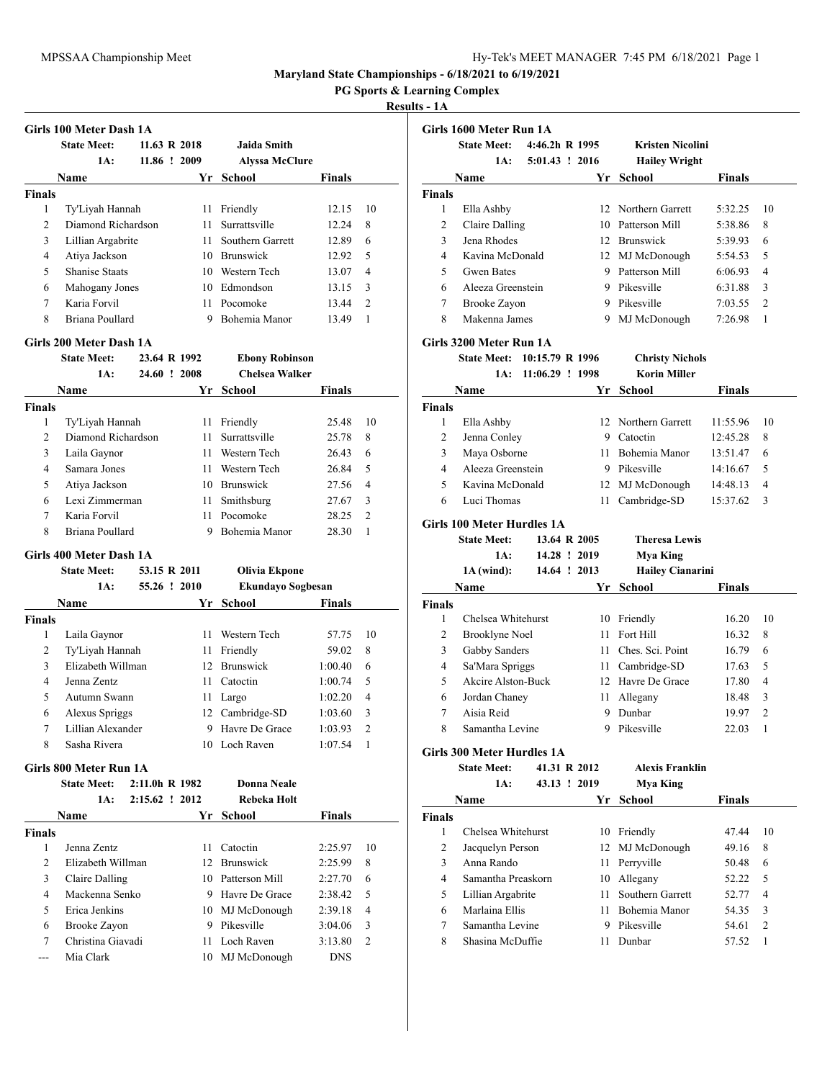**PG Sports & Learning Complex**

### **Results - 1A**

|                | Girls 100 Meter Dash 1A |               |                       |        |                |
|----------------|-------------------------|---------------|-----------------------|--------|----------------|
|                | <b>State Meet:</b>      | 11.63 R 2018  | Jaida Smith           |        |                |
|                | 1A:                     | 11.86 ! 2009  | <b>Alyssa McClure</b> |        |                |
|                | Name                    | Yr -          | School                | Finals |                |
| <b>Finals</b>  |                         |               |                       |        |                |
| 1              | Ty'Liyah Hannah         | 11            | Friendly              | 12.15  | 10             |
| 2              | Diamond Richardson      | 11            | Surrattsville         | 12.24  | 8              |
| 3              | Lillian Argabrite       | 11.           | Southern Garrett      | 12.89  | 6              |
| $\overline{4}$ | Atiya Jackson           | 10            | <b>Brunswick</b>      | 12.92  | 5              |
| 5              | <b>Shanise Staats</b>   | 10.           | Western Tech          | 13.07  | $\overline{4}$ |
| 6              | Mahogany Jones          | 10            | Edmondson             | 13.15  | 3              |
| 7              | Karia Forvil            | 11            | Pocomoke              | 13.44  | $\overline{c}$ |
| 8              | Briana Poullard         | 9             | Bohemia Manor         | 13.49  | 1              |
|                | Girls 200 Meter Dash 1A |               |                       |        |                |
|                | <b>State Meet:</b>      | 23.64 R 1992  | <b>Ebony Robinson</b> |        |                |
|                | <b>1A.</b>              | 24.60 L. 2009 | Cholsee Wellzen       |        |                |

|                | 24.60<br>1A:       | $\frac{1}{2008}$ | Chelsea Walker   |               |                |
|----------------|--------------------|------------------|------------------|---------------|----------------|
|                | <b>Name</b>        | Yr.              | School           | <b>Finals</b> |                |
| <b>Finals</b>  |                    |                  |                  |               |                |
| 1              | Ty'Liyah Hannah    | 11               | Friendly         | 25.48         | 10             |
| $\overline{2}$ | Diamond Richardson | 11               | Surrattsville    | 25.78         | 8              |
| 3              | Laila Gaynor       | 11               | Western Tech     | 26.43         | 6              |
| 4              | Samara Jones       | 11               | Western Tech     | 26.84         | 5              |
| 5              | Atiya Jackson      | 10               | <b>Brunswick</b> | 27.56         | $\overline{4}$ |
| 6              | Lexi Zimmerman     | 11               | Smithsburg       | 27.67         | 3              |
| 7              | Karia Forvil       | 11               | Pocomoke         | 28.25         | $\overline{2}$ |
| 8              | Briana Poullard    |                  | Bohemia Manor    | 28.30         |                |

### **Girls 400 Meter Dash 1A**

|               | <b>State Meet:</b> | 53.15 R 2011 | Olivia Ekpone            |               |               |
|---------------|--------------------|--------------|--------------------------|---------------|---------------|
|               | 1A:                | 55.26 ! 2010 | <b>Ekundayo Sogbesan</b> |               |               |
|               | Name               | Yr.          | School                   | <b>Finals</b> |               |
| <b>Finals</b> |                    |              |                          |               |               |
| 1             | Laila Gaynor       | 11           | Western Tech             | 57.75         | 10            |
| 2             | Ty'Liyah Hannah    | 11           | Friendly                 | 59.02         | 8             |
| 3             | Elizabeth Willman  | 12           | <b>Brunswick</b>         | 1:00.40       | 6             |
| 4             | Jenna Zentz        | 11           | Catoctin                 | 1:00.74       | 5             |
| 5             | Autumn Swann       | 11           | Largo                    | 1:02.20       | 4             |
| 6             | Alexus Spriggs     |              | 12 Cambridge-SD          | 1:03.60       | 3             |
| 7             | Lillian Alexander  | 9            | Havre De Grace           | 1:03.93       | $\mathcal{L}$ |
| 8             | Sasha Rivera       | 10           | Loch Raven               | 1:07.54       |               |
|               |                    |              |                          |               |               |

#### **Girls 800 Meter Run 1A**

|        | <b>State Meet:</b> | $2:11.0h R$ 1982 |     | Donna Neale      |               |                |
|--------|--------------------|------------------|-----|------------------|---------------|----------------|
|        | 1A:                | $2:15.62$ ! 2012 |     | Rebeka Holt      |               |                |
|        | <b>Name</b>        |                  | Yr  | School           | <b>Finals</b> |                |
| Finals |                    |                  |     |                  |               |                |
| 1      | Jenna Zentz        |                  | 11  | Catoctin         | 2:25.97       | 10             |
| 2      | Elizabeth Willman  |                  | 12. | <b>Brunswick</b> | 2:25.99       | 8              |
| 3      | Claire Dalling     |                  | 10. | Patterson Mill   | 2:27.70       | 6              |
| 4      | Mackenna Senko     |                  | 9   | Havre De Grace   | 2:38.42       | 5              |
| 5      | Erica Jenkins      |                  |     | 10 MJ McDonough  | 2:39.18       | $\overline{4}$ |
| 6      | Brooke Zayon       |                  | 9   | Pikesville       | 3:04.06       | 3              |
| 7      | Christina Giavadi  |                  | 11. | Loch Raven       | 3:13.80       | $\overline{2}$ |
|        | Mia Clark          |                  | 10  | MJ McDonough     | <b>DNS</b>    |                |

|                | Girls 1600 Meter Run 1A           |                   |      |                         |               |                |
|----------------|-----------------------------------|-------------------|------|-------------------------|---------------|----------------|
|                | <b>State Meet:</b>                | 4:46.2h R 1995    |      | <b>Kristen Nicolini</b> |               |                |
|                | 1A:                               | 5:01.43 ! 2016    |      | <b>Hailey Wright</b>    |               |                |
|                | Name                              |                   | Yr   | <b>School</b>           | Finals        |                |
| <b>Finals</b>  |                                   |                   |      |                         |               |                |
| 1              | Ella Ashby                        |                   |      | 12 Northern Garrett     | 5:32.25       | 10             |
| $\overline{c}$ | <b>Claire Dalling</b>             |                   |      | 10 Patterson Mill       | 5:38.86       | 8              |
| 3              | Jena Rhodes                       |                   |      | 12 Brunswick            | 5:39.93       | 6              |
| 4              | Kavina McDonald                   |                   |      | 12 MJ McDonough         | 5:54.53       | 5              |
| 5              | <b>Gwen Bates</b>                 |                   |      | 9 Patterson Mill        | 6:06.93       | 4              |
| 6              | Aleeza Greenstein                 |                   |      | 9 Pikesville            | 6:31.88       | 3              |
| 7              | Brooke Zayon                      |                   |      | 9 Pikesville            | 7:03.55       | $\overline{c}$ |
| 8              | Makenna James                     |                   |      | 9 MJ McDonough          | 7:26.98       | 1              |
|                |                                   |                   |      |                         |               |                |
|                | Girls 3200 Meter Run 1A           |                   |      |                         |               |                |
|                | State Meet: 10:15.79 R 1996       |                   |      | <b>Christy Nichols</b>  |               |                |
|                | 1A:                               | $11:06.29$ ! 1998 |      | <b>Korin Miller</b>     |               |                |
|                | Name                              |                   |      | Yr School               | <b>Finals</b> |                |
| <b>Finals</b>  |                                   |                   |      |                         |               |                |
| 1              | Ella Ashby                        |                   |      | 12 Northern Garrett     | 11:55.96      | 10             |
| $\overline{c}$ | Jenna Conley                      |                   |      | 9 Catoctin              | 12:45.28      | 8              |
| 3              | Maya Osborne                      |                   |      | 11 Bohemia Manor        | 13:51.47      | 6              |
| 4              | Aleeza Greenstein                 |                   |      | 9 Pikesville            | 14:16.67      | 5              |
| 5              | Kavina McDonald                   |                   |      | 12 MJ McDonough         | 14:48.13      | 4              |
| 6              | Luci Thomas                       |                   | 11   | Cambridge-SD            | 15:37.62      | 3              |
|                | Girls 100 Meter Hurdles 1A        |                   |      |                         |               |                |
|                | <b>State Meet:</b>                | 13.64 R 2005      |      | <b>Theresa Lewis</b>    |               |                |
|                | 1A:                               | 14.28 ! 2019      |      | <b>Mya King</b>         |               |                |
|                | $1A$ (wind):                      | 14.64 ! 2013      |      | <b>Hailey Cianarini</b> |               |                |
|                | Name                              |                   | Yr   | <b>School</b>           | <b>Finals</b> |                |
| <b>Finals</b>  |                                   |                   |      |                         |               |                |
| 1              | Chelsea Whitehurst                |                   |      | 10 Friendly             | 16.20         | 10             |
| 2              | Brooklyne Noel                    |                   | 11   | Fort Hill               | 16.32         | 8              |
| 3              | Gabby Sanders                     |                   |      | 11 Ches. Sci. Point     | 16.79         | 6              |
| 4              | Sa'Mara Spriggs                   |                   | 11 - | Cambridge-SD            | 17.63         | 5              |
| 5              | Akcire Alston-Buck                |                   |      | 12 Havre De Grace       | 17.80         | 4              |
| 6              | Jordan Chaney                     |                   | 11   | Allegany                | 18.48         | 3              |
| 7              | Aisia Reid                        |                   | 9    | Dunbar                  | 19.97         | 2              |
| 8              | Samantha Levine                   |                   | 9    | Pikesville              | 22.03         | 1              |
|                |                                   |                   |      |                         |               |                |
|                | <b>Girls 300 Meter Hurdles 1A</b> |                   |      |                         |               |                |
|                | <b>State Meet:</b>                | 41.31 R 2012      |      | <b>Alexis Franklin</b>  |               |                |
|                | $1A$ :                            | 43.13 ! 2019      |      | Mya King                |               |                |
|                | Name                              |                   | Yr   | School                  | <b>Finals</b> |                |
| <b>Finals</b>  |                                   |                   |      |                         |               |                |
| $\mathbf{1}$   | Chelsea Whitehurst                |                   |      | 10 Friendly             | 47.44         | 10             |
| $\overline{2}$ | Jacquelyn Person                  |                   |      | 12 MJ McDonough         | 49.16         | 8              |
| 3              | Anna Rando                        |                   |      | 11 Perryville           | 50.48         | 6              |
| 4              | Samantha Preaskorn                |                   |      | 10 Allegany             | 52.22         | 5              |
| 5              | Lillian Argabrite                 |                   | 11   | Southern Garrett        | 52.77         | 4              |
| 6              | Marlaina Ellis                    |                   |      | 11 Bohemia Manor        | 54.35         | 3              |
| 7              | Samantha Levine                   |                   |      | 9 Pikesville            | 54.61         | 2              |
| 8              | Shasina McDuffie                  |                   | 11 - | Dunbar                  | 57.52         | 1              |
|                |                                   |                   |      |                         |               |                |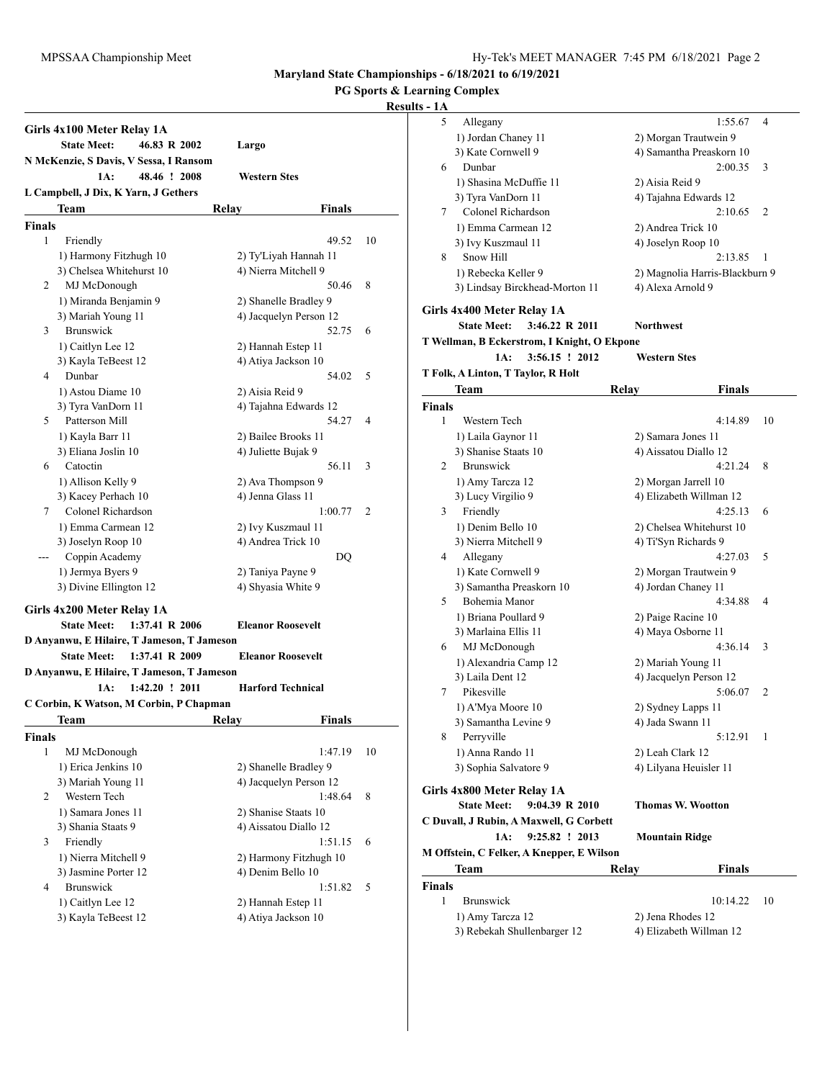**PG Sports & Learning Complex**

| Girls 4x100 Meter Relay 1A                 |                          |    |
|--------------------------------------------|--------------------------|----|
| <b>State Meet:</b><br>46.83 R 2002         | Largo                    |    |
| N McKenzie, S Davis, V Sessa, I Ransom     |                          |    |
| 1A:<br>48.46 ! 2008                        | Western Stes             |    |
| L Campbell, J Dix, K Yarn, J Gethers       |                          |    |
| Team                                       | Relay<br>Finals          |    |
| <b>Finals</b>                              |                          |    |
| 1<br>Friendly                              | 49.52                    | 10 |
| 1) Harmony Fitzhugh 10                     | 2) Ty'Liyah Hannah 11    |    |
| 3) Chelsea Whitehurst 10                   | 4) Nierra Mitchell 9     |    |
| MJ McDonough<br>2                          | 50.46                    | 8  |
| 1) Miranda Benjamin 9                      | 2) Shanelle Bradley 9    |    |
| 3) Mariah Young 11                         | 4) Jacquelyn Person 12   |    |
| Brunswick<br>3                             | 52.75                    | 6  |
| 1) Caitlyn Lee 12                          | 2) Hannah Estep 11       |    |
| 3) Kayla TeBeest 12                        | 4) Atiya Jackson 10      |    |
| Dunbar<br>4                                | 54.02                    | 5  |
| 1) Astou Diame 10                          | 2) Aisia Reid 9          |    |
| 3) Tyra VanDorn 11                         | 4) Tajahna Edwards 12    |    |
| 5<br>Patterson Mill                        | 54.27                    | 4  |
| 1) Kayla Barr 11                           | 2) Bailee Brooks 11      |    |
| 3) Eliana Joslin 10                        | 4) Juliette Bujak 9      |    |
| Catoctin<br>6                              | 56.11                    | 3  |
| 1) Allison Kelly 9                         | 2) Ava Thompson 9        |    |
| 3) Kacey Perhach 10                        | 4) Jenna Glass 11        |    |
| Colonel Richardson<br>7                    | 1:00.77                  | 2  |
| 1) Emma Carmean 12                         | 2) Ivy Kuszmaul 11       |    |
| 3) Joselyn Roop 10                         | 4) Andrea Trick 10       |    |
| Coppin Academy<br>---                      | DQ                       |    |
| 1) Jermya Byers 9                          | 2) Taniya Payne 9        |    |
| 3) Divine Ellington 12                     | 4) Shyasia White 9       |    |
| Girls 4x200 Meter Relay 1A                 |                          |    |
| <b>State Meet:</b><br>1:37.41 R 2006       | <b>Eleanor Roosevelt</b> |    |
| D Anyanwu, E Hilaire, T Jameson, T Jameson |                          |    |
| <b>State Meet:</b><br>1:37.41 R 2009       | <b>Eleanor Roosevelt</b> |    |
| D Anyanwu, E Hilaire, T Jameson, T Jameson |                          |    |
| $1:42.20$ ! 2011<br>1A:                    | <b>Harford Technical</b> |    |
| C Corbin, K Watson, M Corbin, P Chapman    |                          |    |
|                                            | <b>Finals</b>            |    |
| Team                                       | Relav                    |    |
| <b>Finals</b>                              |                          |    |
| $\mathbf{1}$<br>MJ McDonough               | 1:47.19                  | 10 |
| 1) Erica Jenkins 10                        | 2) Shanelle Bradley 9    |    |
| 3) Mariah Young 11                         | 4) Jacquelyn Person 12   |    |
| Western Tech<br>2                          | 1:48.64                  | 8  |
| 1) Samara Jones 11                         | 2) Shanise Staats 10     |    |
| 3) Shania Staats 9                         | 4) Aissatou Diallo 12    |    |
| Friendly<br>3                              | 1:51.15                  | 6  |
| 1) Nierra Mitchell 9                       | 2) Harmony Fitzhugh 10   |    |
| 3) Jasmine Porter 12                       | 4) Denim Bello 10        |    |
| Brunswick<br>4                             | 1:51.82                  | 5  |
| 1) Caitlyn Lee 12                          | 2) Hannah Estep 11       |    |
| 3) Kayla TeBeest 12                        | 4) Atiya Jackson 10      |    |

| 5      | Allegany                                    | 1:55.67                        | 4              |  |  |  |
|--------|---------------------------------------------|--------------------------------|----------------|--|--|--|
|        | 1) Jordan Chaney 11                         | 2) Morgan Trautwein 9          |                |  |  |  |
|        | 3) Kate Cornwell 9                          | 4) Samantha Preaskorn 10       |                |  |  |  |
|        |                                             |                                |                |  |  |  |
| 6      | Dunbar                                      | 2:00.35                        | 3              |  |  |  |
|        | 1) Shasina McDuffie 11                      | 2) Aisia Reid 9                |                |  |  |  |
|        | 3) Tyra VanDorn 11                          | 4) Tajahna Edwards 12          |                |  |  |  |
| 7      | Colonel Richardson                          | 2:10.65                        | $\overline{c}$ |  |  |  |
|        | 1) Emma Carmean 12                          | 2) Andrea Trick 10             |                |  |  |  |
|        | 3) Ivy Kuszmaul 11                          | 4) Joselyn Roop 10             |                |  |  |  |
| 8      | Snow Hill                                   | 2:13.85                        | 1              |  |  |  |
|        | 1) Rebecka Keller 9                         | 2) Magnolia Harris-Blackburn 9 |                |  |  |  |
|        | 3) Lindsay Birckhead-Morton 11              | 4) Alexa Arnold 9              |                |  |  |  |
|        |                                             |                                |                |  |  |  |
|        | Girls 4x400 Meter Relay 1A                  |                                |                |  |  |  |
|        | <b>State Meet:</b><br>3:46.22 R 2011        | <b>Northwest</b>               |                |  |  |  |
|        | T Wellman, B Eckerstrom, I Knight, O Ekpone |                                |                |  |  |  |
|        | 3:56.15 ! 2012<br>1A:                       | <b>Western Stes</b>            |                |  |  |  |
|        | T Folk, A Linton, T Taylor, R Holt          |                                |                |  |  |  |
|        | Team                                        | Relay<br>Finals                |                |  |  |  |
| Finals |                                             |                                |                |  |  |  |
| 1      | Western Tech                                | 4:14.89                        | 10             |  |  |  |
|        | 1) Laila Gaynor 11                          | 2) Samara Jones 11             |                |  |  |  |
|        |                                             |                                |                |  |  |  |
|        | 3) Shanise Staats 10                        | 4) Aissatou Diallo 12          |                |  |  |  |
| 2      | Brunswick                                   | 4:21.24                        | 8              |  |  |  |
|        | 1) Amy Tarcza 12                            | 2) Morgan Jarrell 10           |                |  |  |  |
|        | 3) Lucy Virgilio 9                          | 4) Elizabeth Willman 12        |                |  |  |  |
| 3      | Friendly                                    | 4:25.13                        | 6              |  |  |  |
|        | 1) Denim Bello 10                           | 2) Chelsea Whitehurst 10       |                |  |  |  |
|        | 3) Nierra Mitchell 9                        | 4) Ti'Syn Richards 9           |                |  |  |  |
| 4      | Allegany                                    | 4:27.03                        | 5              |  |  |  |
|        | 1) Kate Cornwell 9                          | 2) Morgan Trautwein 9          |                |  |  |  |
|        | 3) Samantha Preaskorn 10                    | 4) Jordan Chaney 11            |                |  |  |  |
| 5      | Bohemia Manor                               | 4:34.88                        | 4              |  |  |  |
|        | 1) Briana Poullard 9                        | 2) Paige Racine 10             |                |  |  |  |
|        | 3) Marlaina Ellis 11                        | 4) Maya Osborne 11             |                |  |  |  |
|        |                                             |                                |                |  |  |  |
| 6      | MJ McDonough                                | 4:36.14                        | 3              |  |  |  |
|        | 1) Alexandria Camp 12                       | 2) Mariah Young 11             |                |  |  |  |
|        | 3) Laila Dent 12                            | 4) Jacquelyn Person 12         |                |  |  |  |
| 7      | Pikesville                                  | 5:06.07                        | 2              |  |  |  |
|        | 1) A'Mya Moore 10                           | 2) Sydney Lapps 11             |                |  |  |  |
|        | 3) Samantha Levine 9                        | 4) Jada Swann 11               |                |  |  |  |
| 8      | Perryville                                  | 5:12.91                        | 1              |  |  |  |
|        | 1) Anna Rando 11                            | 2) Leah Clark 12               |                |  |  |  |
|        | 3) Sophia Salvatore 9                       | 4) Lilyana Heuisler 11         |                |  |  |  |
|        |                                             |                                |                |  |  |  |
|        | Girls 4x800 Meter Relay 1A                  |                                |                |  |  |  |
|        | <b>State Meet:</b><br>9:04.39 R 2010        | Thomas W. Wootton              |                |  |  |  |
|        | C Duvall, J Rubin, A Maxwell, G Corbett     |                                |                |  |  |  |
|        | 9:25.82 ! 2013<br>1A:                       | <b>Mountain Ridge</b>          |                |  |  |  |
|        | M Offstein, C Felker, A Knepper, E Wilson   |                                |                |  |  |  |
|        | Team                                        | Relay<br>Finals                |                |  |  |  |
| Finals |                                             |                                |                |  |  |  |
| 1      | Brunswick                                   | 10:14.22                       | 10             |  |  |  |
|        | 1) Amy Tarcza 12                            | 2) Jena Rhodes 12              |                |  |  |  |
|        | 3) Rebekah Shullenbarger 12                 | 4) Elizabeth Willman 12        |                |  |  |  |
|        |                                             |                                |                |  |  |  |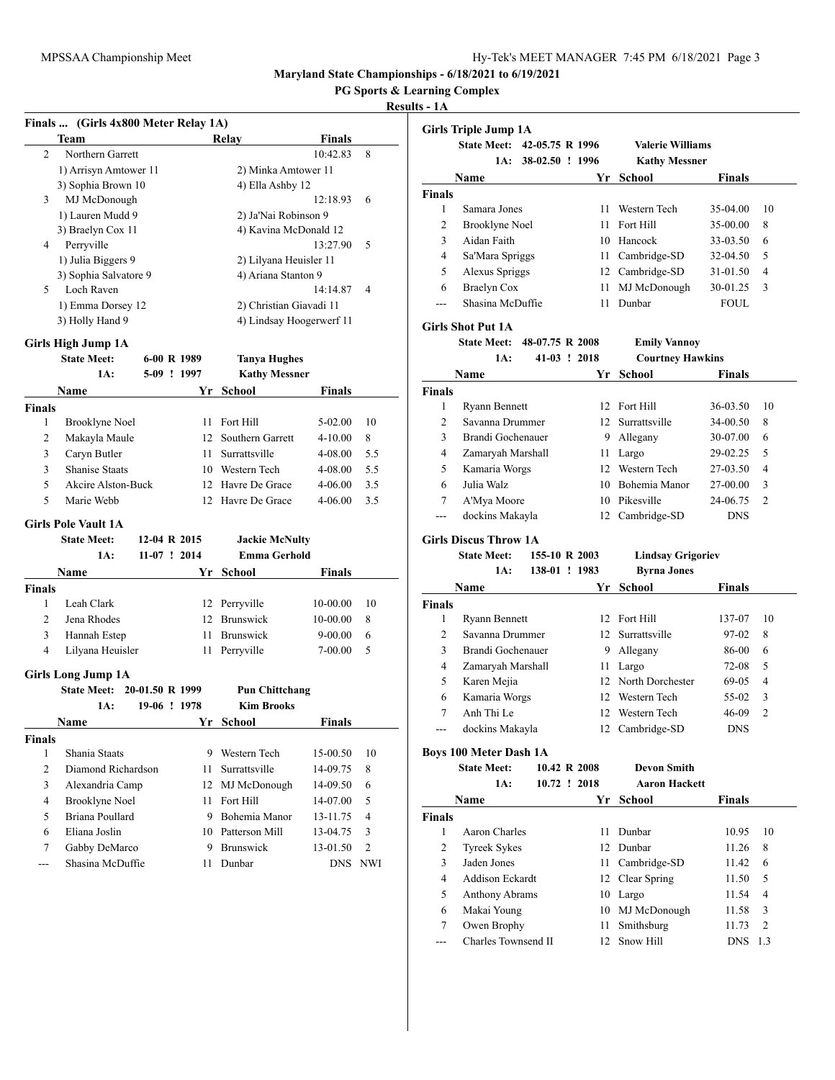**PG Sports & Learning Complex**

|                | Finals  (Girls 4x800 Meter Relay 1A) |                 |    |                          |               |                |
|----------------|--------------------------------------|-----------------|----|--------------------------|---------------|----------------|
|                | Team                                 |                 |    | Relav                    | <b>Finals</b> |                |
| $\overline{c}$ | Northern Garrett                     |                 |    |                          | 10:42.83      | 8              |
|                | 1) Arrisyn Amtower 11                |                 |    | 2) Minka Amtower 11      |               |                |
|                | 3) Sophia Brown 10                   |                 |    | 4) Ella Ashby 12         |               |                |
| 3              | MJ McDonough                         |                 |    |                          | 12:18.93      | 6              |
|                | 1) Lauren Mudd 9                     |                 |    | 2) Ja'Nai Robinson 9     |               |                |
|                | 3) Braelyn Cox 11                    |                 |    | 4) Kavina McDonald 12    |               |                |
| 4              | Perryville                           |                 |    |                          | 13:27.90      | 5              |
|                | 1) Julia Biggers 9                   |                 |    | 2) Lilyana Heuisler 11   |               |                |
|                | 3) Sophia Salvatore 9                |                 |    | 4) Ariana Stanton 9      |               |                |
| 5              | Loch Raven                           |                 |    |                          | 14:14.87      | 4              |
|                | 1) Emma Dorsey 12                    |                 |    | 2) Christian Giavadi 11  |               |                |
|                | 3) Holly Hand 9                      |                 |    | 4) Lindsay Hoogerwerf 11 |               |                |
|                | Girls High Jump 1A                   |                 |    |                          |               |                |
|                | <b>State Meet:</b>                   | 6-00 R 1989     |    | <b>Tanya Hughes</b>      |               |                |
|                | 1A:                                  | 5-09 ! 1997     |    | <b>Kathy Messner</b>     |               |                |
|                | Name                                 |                 | Yr |                          | Finals        |                |
| <b>Finals</b>  |                                      |                 |    | <b>School</b>            |               |                |
| 1              |                                      |                 | 11 | Fort Hill                | 5-02.00       | 10             |
| 2              | Brooklyne Noel                       |                 |    | 12 Southern Garrett      |               | 8              |
|                | Makayla Maule                        |                 |    |                          | 4-10.00       |                |
| 3              | Caryn Butler                         |                 | 11 | Surrattsville            | 4-08.00       | 5.5            |
| 3              | <b>Shanise Staats</b>                |                 |    | 10 Western Tech          | 4-08.00       | 5.5            |
| 5              | Akcire Alston-Buck                   |                 |    | 12 Havre De Grace        | 4-06.00       | 3.5            |
| 5              | Marie Webb                           |                 |    | 12 Havre De Grace        | 4-06.00       | 3.5            |
|                | <b>Girls Pole Vault 1A</b>           |                 |    |                          |               |                |
|                | <b>State Meet:</b>                   | 12-04 R 2015    |    | <b>Jackie McNulty</b>    |               |                |
|                | 1A:                                  | $11-07$ ! 2014  |    | <b>Emma Gerhold</b>      |               |                |
|                | Name                                 |                 | Yr | School                   | Finals        |                |
| <b>Finals</b>  |                                      |                 |    |                          |               |                |
| 1              | Leah Clark                           |                 |    | 12 Perryville            | 10-00.00      | 10             |
| $\overline{c}$ | Jena Rhodes                          |                 |    | 12 Brunswick             | 10-00.00      | 8              |
| 3              | Hannah Estep                         |                 |    | 11 Brunswick             | 9-00.00       | 6              |
| 4              | Lilyana Heuisler                     |                 | 11 | Perryville               | 7-00.00       | 5              |
|                |                                      |                 |    |                          |               |                |
|                | <b>Girls Long Jump 1A</b>            |                 |    |                          |               |                |
|                | <b>State Meet:</b>                   | 20-01.50 R 1999 |    | <b>Pun Chittchang</b>    |               |                |
|                | 1A:                                  | 19-06 ! 1978    |    | <b>Kim Brooks</b>        |               |                |
|                | <u>Name</u>                          |                 |    | Yr School                | Finals        |                |
| <b>Finals</b>  |                                      |                 |    |                          |               |                |
| 1              | Shania Staats                        |                 |    | 9 Western Tech           | 15-00.50      | 10             |
| 2              | Diamond Richardson                   |                 | 11 | Surrattsville            | 14-09.75      | 8              |
| 3              | Alexandria Camp                      |                 | 12 | MJ McDonough             | 14-09.50      | 6              |
| 4              | <b>Brooklyne Noel</b>                |                 | 11 | Fort Hill                | 14-07.00      | 5              |
| 5              | Briana Poullard                      |                 |    | 9 Bohemia Manor          | 13-11.75      | 4              |
| 6              | Eliana Joslin                        |                 |    | 10 Patterson Mill        | 13-04.75      | 3              |
| 7              | Gabby DeMarco                        |                 |    | 9 Brunswick              | 13-01.50      | $\overline{2}$ |
| ---            | Shasina McDuffie                     |                 | 11 | Dunbar                   | <b>DNS</b>    | <b>NWI</b>     |

|                     | <b>Girls Triple Jump 1A</b>        |                 |      |                               |                |                |
|---------------------|------------------------------------|-----------------|------|-------------------------------|----------------|----------------|
|                     | <b>State Meet:</b>                 | 42-05.75 R 1996 |      | <b>Valerie Williams</b>       |                |                |
|                     | 1A:                                | 38-02.50 ! 1996 |      | <b>Kathy Messner</b>          |                |                |
|                     | Name                               |                 | Yr   | School                        | Finals         |                |
| <b>Finals</b>       |                                    |                 |      |                               |                |                |
| 1                   | Samara Jones                       |                 | 11   | Western Tech                  | 35-04.00       | 10             |
| $\overline{c}$      | Brooklyne Noel                     |                 | 11   | Fort Hill                     | 35-00.00       | 8              |
| 3                   | Aidan Faith                        |                 |      | 10 Hancock                    | 33-03.50       | 6              |
| $\overline{4}$      | Sa'Mara Spriggs                    |                 |      | 11 Cambridge-SD               | 32-04.50       | 5              |
| 5                   | Alexus Spriggs                     |                 |      | 12 Cambridge-SD               | 31-01.50       | 4              |
| 6                   | <b>Braelyn Cox</b>                 |                 | 11   | MJ McDonough                  | 30-01.25       | 3              |
| ---                 | Shasina McDuffie                   |                 | 11   | Dunbar                        | FOUL           |                |
|                     | <b>Girls Shot Put 1A</b>           |                 |      |                               |                |                |
|                     | <b>State Meet:</b>                 | 48-07.75 R 2008 |      | <b>Emily Vannoy</b>           |                |                |
|                     | 1A:                                | 41-03 ! 2018    |      | <b>Courtney Hawkins</b>       |                |                |
|                     | Name                               |                 | Yr   | School                        | Finals         |                |
| <b>Finals</b>       |                                    |                 |      |                               |                |                |
| 1                   | <b>Ryann Bennett</b>               |                 |      | 12 Fort Hill                  | 36-03.50       | 10             |
| 2                   | Savanna Drummer                    |                 |      | 12 Surrattsville              | 34-00.50       | 8              |
| 3                   | Brandi Gochenauer                  |                 |      | 9 Allegany                    | 30-07.00       | 6              |
| $\overline{4}$      | Zamaryah Marshall                  |                 |      | 11 Largo                      | 29-02.25       | 5              |
| 5                   | Kamaria Worgs                      |                 |      | 12 Western Tech               | 27-03.50       | 4              |
| 6                   | Julia Walz                         |                 |      | 10 Bohemia Manor              | 27-00.00       | 3              |
| 7                   | A'Mya Moore                        |                 |      | 10 Pikesville                 | 24-06.75       | 2              |
| ---                 | dockins Makayla                    |                 |      | 12 Cambridge-SD               | <b>DNS</b>     |                |
|                     | <b>Girls Discus Throw 1A</b>       |                 |      |                               |                |                |
|                     | <b>State Meet:</b>                 | 155-10 R 2003   |      | <b>Lindsay Grigoriev</b>      |                |                |
|                     | 1A:                                | 138-01 ! 1983   |      | <b>Byrna Jones</b>            |                |                |
|                     | Name                               |                 | Yr   | School                        | Finals         |                |
| <b>Finals</b>       |                                    |                 |      |                               |                |                |
| 1                   | <b>Ryann Bennett</b>               |                 |      | 12 Fort Hill                  | 137-07         | 10             |
| 2                   | Savanna Drummer                    |                 |      | 12 Surrattsville              | 97-02          | 8              |
| 3                   | Brandi Gochenauer                  |                 |      | 9 Allegany                    | 86-00          | 6              |
| $\overline{4}$      | Zamaryah Marshall                  |                 | 11   | Largo                         | 72-08          | 5              |
| 5                   | Karen Mejia                        |                 |      |                               |                |                |
| 6                   |                                    |                 |      | 12 North Dorchester           | 69-05          | 4              |
|                     | Kamaria Worgs                      |                 |      | 12 Western Tech               | 55-02          | 3              |
| 7                   | Anh Thi Le                         |                 |      | 12 Western Tech               | 46-09          | $\overline{c}$ |
|                     | dockins Makayla                    |                 |      | 12 Cambridge-SD               | <b>DNS</b>     |                |
|                     |                                    |                 |      |                               |                |                |
|                     | <b>Boys 100 Meter Dash 1A</b>      |                 |      |                               |                |                |
|                     | <b>State Meet:</b>                 | 10.42 R 2008    |      | <b>Devon Smith</b>            |                |                |
|                     | 1A:                                | 10.72 ! 2018    |      | <b>Aaron Hackett</b>          |                |                |
|                     | Name                               |                 | Yr   | <b>School</b>                 | <b>Finals</b>  |                |
| <b>Finals</b><br>1  |                                    |                 | 11   |                               |                |                |
|                     | Aaron Charles                      |                 | 12   | Dunbar<br>Dunbar              | 10.95          | 10             |
| $\mathbf{2}$        | <b>Tyreek Sykes</b><br>Jaden Jones |                 |      |                               | 11.26          | 8              |
| 3<br>$\overline{4}$ | <b>Addison Eckardt</b>             |                 | 11 - | Cambridge-SD                  | 11.42          | 6              |
|                     |                                    |                 | 12   | Clear Spring                  | 11.50<br>11.54 | 5<br>4         |
| 5<br>6              | Anthony Abrams                     |                 |      | 10 Largo                      | 11.58          | 3              |
| 7                   | Makai Young<br>Owen Brophy         |                 | 11   | 10 MJ McDonough<br>Smithsburg | 11.73          | $\mathbf{2}$   |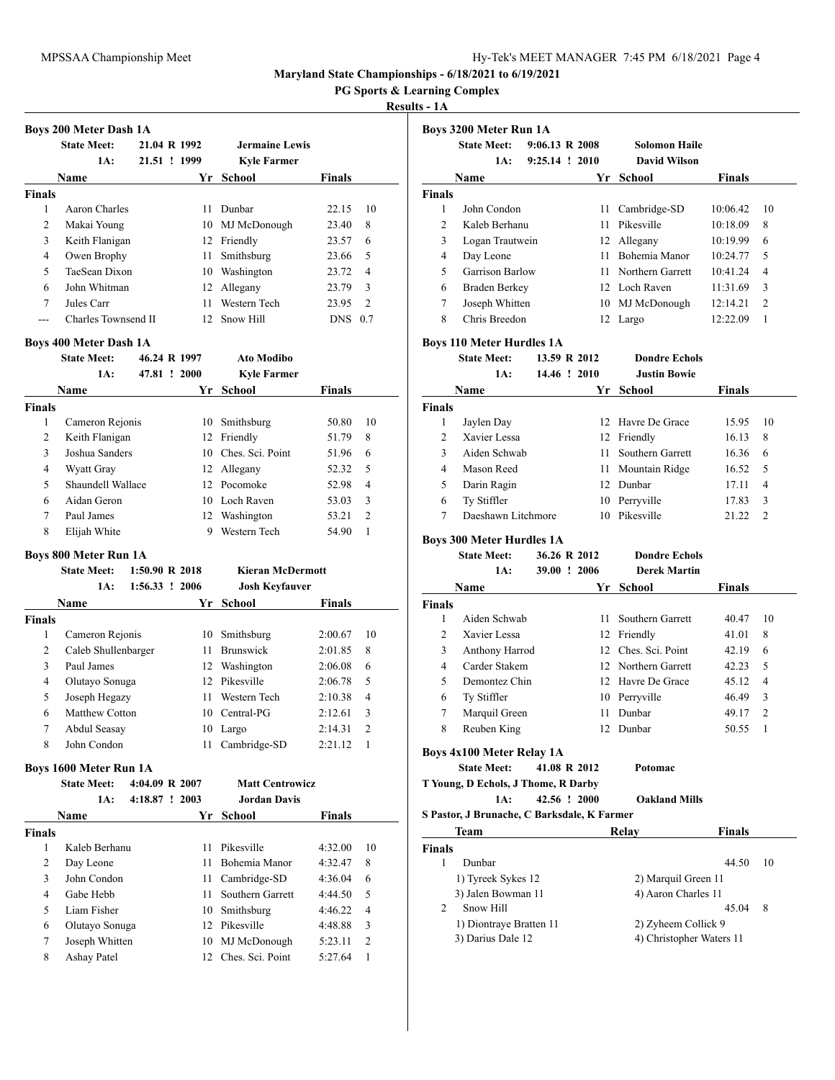**PG Sports & Learning Complex**

### **Results - 1A**

|               | <b>Boys 200 Meter Dash 1A</b> |              |     |                    |               |                |  |  |
|---------------|-------------------------------|--------------|-----|--------------------|---------------|----------------|--|--|
|               | <b>State Meet:</b>            | 21.04 R 1992 |     | Jermaine Lewis     |               |                |  |  |
|               | 1A:                           | 21.51 ! 1999 |     | <b>Kyle Farmer</b> |               |                |  |  |
| Name          |                               |              | Yr  | School             | <b>Finals</b> |                |  |  |
| <b>Finals</b> |                               |              |     |                    |               |                |  |  |
| 1             | Aaron Charles                 |              | 11  | Dunbar             | 22.15         | 10             |  |  |
| 2             | Makai Young                   |              | 10. | MJ McDonough       | 23.40         | 8              |  |  |
| 3             | Keith Flanigan                |              | 12  | Friendly           | 23.57         | 6              |  |  |
| 4             | Owen Brophy                   |              | 11  | Smithsburg         | 23.66         | 5              |  |  |
| 5             | TaeSean Dixon                 |              | 10  | Washington         | 23.72         | $\overline{4}$ |  |  |
| 6             | John Whitman                  |              | 12  | Allegany           | 23.79         | 3              |  |  |
| 7             | Jules Carr                    |              | 11  | Western Tech       | 23.95         | $\mathfrak{D}$ |  |  |
|               | Charles Townsend II           |              | 12. | Snow Hill          | <b>DNS</b>    | 0.7            |  |  |
|               | <b>Boys 400 Meter Dash 1A</b> |              |     |                    |               |                |  |  |

|               | <b>State Meet:</b> | 46.24 R 1997 | <b>Ato Modibo</b>  |               |                |
|---------------|--------------------|--------------|--------------------|---------------|----------------|
|               | 1A:                | 47.81 ! 2000 | <b>Kyle Farmer</b> |               |                |
|               | Name               | Yr           | School             | <b>Finals</b> |                |
| <b>Finals</b> |                    |              |                    |               |                |
| 1             | Cameron Rejonis    | 10.          | Smithsburg         | 50.80         | 10             |
| 2             | Keith Flanigan     |              | 12 Friendly        | 51.79         | 8              |
| 3             | Joshua Sanders     | 10.          | Ches. Sci. Point   | 51.96         | 6              |
| 4             | Wyatt Gray         |              | 12 Allegany        | 52.32         | 5              |
| 5             | Shaundell Wallace  |              | 12 Pocomoke        | 52.98         | 4              |
| 6             | Aidan Geron        |              | 10 Loch Raven      | 53.03         | 3              |
| 7             | Paul James         | 12           | Washington         | 53.21         | $\overline{c}$ |
| 8             | Elijah White       | 9            | Western Tech       | 54.90         | 1              |

## **Boys 800 Meter Run 1A**

|               | <b>State Meet:</b>  | $1:50.90 \text{ R} 2018$ |     | <b>Kieran McDermott</b> |               |                |
|---------------|---------------------|--------------------------|-----|-------------------------|---------------|----------------|
|               | 1A:                 | $1:56.33$ ! 2006         |     | <b>Josh Keyfauver</b>   |               |                |
|               | Name                |                          | Yr  | School                  | <b>Finals</b> |                |
| <b>Finals</b> |                     |                          |     |                         |               |                |
| 1             | Cameron Rejonis     |                          | 10  | Smithsburg              | 2:00.67       | 10             |
| 2             | Caleb Shullenbarger |                          | 11  | <b>Brunswick</b>        | 2:01.85       | 8              |
| 3             | Paul James          |                          | 12  | Washington              | 2:06.08       | 6              |
| 4             | Olutayo Sonuga      |                          | 12. | Pikesville              | 2:06.78       | 5              |
| 5             | Joseph Hegazy       |                          | 11  | Western Tech            | 2:10.38       | 4              |
| 6             | Matthew Cotton      |                          | 10  | Central-PG              | 2:12.61       | 3              |
| 7             | Abdul Seasay        |                          | 10  | Largo                   | 2:14.31       | $\overline{2}$ |
| 8             | John Condon         |                          | 11  | Cambridge-SD            | 2:21.12       |                |

### **Boys 1600 Meter Run 1A**

|        | <b>State Meet:</b> | 4:04.09 R 2007 |     | <b>Matt Centrowicz</b> |               |                |
|--------|--------------------|----------------|-----|------------------------|---------------|----------------|
|        | 1A:                | 4:18.87 ! 2003 |     | Jordan Davis           |               |                |
|        | Name               |                |     | Yr School              | <b>Finals</b> |                |
| Finals |                    |                |     |                        |               |                |
| 1      | Kaleb Berhanu      |                | 11  | Pikesville             | 4:32.00       | 10             |
| 2      | Day Leone          |                | 11. | Bohemia Manor          | 4:32.47       | 8              |
| 3      | John Condon        |                | 11  | Cambridge-SD           | 4:36.04       | 6              |
| 4      | Gabe Hebb          |                | 11. | Southern Garrett       | 4:44.50       | 5              |
| 5      | Liam Fisher        |                | 10  | Smithsburg             | 4:46.22       | $\overline{4}$ |
| 6      | Olutayo Sonuga     |                |     | 12 Pikesville          | 4:48.88       | 3              |
| 7      | Joseph Whitten     |                |     | 10 MJ McDonough        | 5:23.11       | $\overline{2}$ |
| 8      | Ashay Patel        |                |     | 12 Ches. Sci. Point    | 5:27.64       |                |
|        |                    |                |     |                        |               |                |

|                | <b>State Meet:</b>                                     | 9:06.13 R 2008 |              | <b>Solomon Haile</b> |          |                |
|----------------|--------------------------------------------------------|----------------|--------------|----------------------|----------|----------------|
|                | 1A:                                                    | 9:25.14 ! 2010 |              | <b>David Wilson</b>  |          |                |
|                | Name                                                   |                |              | Yr School            | Finals   |                |
| <b>Finals</b>  |                                                        |                |              |                      |          |                |
| 1              | John Condon                                            |                |              | 11 Cambridge-SD      | 10:06.42 | 10             |
| $\overline{c}$ | Kaleb Berhanu                                          |                |              | 11 Pikesville        | 10:18.09 | 8              |
| 3              | Logan Trautwein                                        |                |              | 12 Allegany          | 10:19.99 | 6              |
| $\overline{4}$ | Day Leone                                              |                |              | 11 Bohemia Manor     | 10:24.77 | 5              |
| 5              | Garrison Barlow                                        |                |              | 11 Northern Garrett  | 10:41.24 | 4              |
| 6              | <b>Braden Berkey</b>                                   |                |              | 12 Loch Raven        | 11:31.69 | 3              |
| 7              | Joseph Whitten                                         |                |              | 10 MJ McDonough      | 12:14.21 | $\overline{2}$ |
| 8              | Chris Breedon                                          |                |              | 12 Largo             | 12:22.09 | 1              |
|                | <b>Boys 110 Meter Hurdles 1A</b>                       |                |              |                      |          |                |
|                | <b>State Meet:</b>                                     |                | 13.59 R 2012 | <b>Dondre Echols</b> |          |                |
|                | 1A:                                                    |                | 14.46 ! 2010 | <b>Justin Bowie</b>  |          |                |
|                | Name                                                   |                |              | Yr School            | Finals   |                |
| <b>Finals</b>  |                                                        |                |              |                      |          |                |
| $\mathbf{1}$   | Jaylen Day                                             |                |              | 12 Havre De Grace    | 15.95    | 10             |
| 2              | Xavier Lessa                                           |                |              | 12 Friendly          | 16.13    | 8              |
| 3              | Aiden Schwab                                           |                | 11           | Southern Garrett     | 16.36    | 6              |
| $\overline{4}$ | Mason Reed                                             |                |              | 11 Mountain Ridge    | 16.52    | 5              |
| 5              | Darin Ragin                                            |                |              | 12 Dunbar            | 17.11    | 4              |
| 6              | Ty Stiffler                                            |                |              | 10 Perryville        | 17.83    | 3              |
| 7              | Daeshawn Litchmore                                     |                |              | 10 Pikesville        | 21.22    | $\overline{c}$ |
|                | <b>Boys 300 Meter Hurdles 1A</b>                       |                |              |                      |          |                |
|                | <b>State Meet:</b>                                     |                | 36.26 R 2012 | <b>Dondre Echols</b> |          |                |
|                | 1A:                                                    |                | 39.00 ! 2006 | <b>Derek Martin</b>  |          |                |
|                | <b>Name</b>                                            |                |              | Yr School            | Finals   |                |
| <b>Finals</b>  |                                                        |                |              |                      |          |                |
| 1              | Aiden Schwab                                           |                | 11 -         | Southern Garrett     | 40.47    | 10             |
| $\overline{c}$ | Xavier Lessa                                           |                |              | 12 Friendly          | 41.01    | 8              |
| 3              | Anthony Harrod                                         |                |              | 12 Ches. Sci. Point  | 42.19    | 6              |
| $\overline{4}$ | Carder Stakem                                          |                |              | 12 Northern Garrett  | 42.23    | 5              |
| 5              | Demontez Chin                                          |                |              | 12 Havre De Grace    | 45.12    | 4              |
| 6              | Ty Stiffler                                            |                |              | 10 Perryville        | 46.49    | 3              |
| 7              | Marquil Green                                          |                |              | 11 Dunbar            | 49.17    | $\overline{2}$ |
| 8              | Reuben King                                            |                |              | 12 Dunbar            | 50.55    | 1              |
|                |                                                        |                |              |                      |          |                |
|                | <b>Boys 4x100 Meter Relay 1A</b><br><b>State Meet:</b> |                | 41.08 R 2012 | Potomac              |          |                |
|                | T Young, D Echols, J Thome, R Darby                    |                |              |                      |          |                |
|                | 1A:                                                    |                | 42.56 ! 2000 | <b>Oakland Mills</b> |          |                |
|                |                                                        |                |              |                      |          |                |

| Team                    | Relav                    | <b>Finals</b> |    |
|-------------------------|--------------------------|---------------|----|
| <b>Finals</b>           |                          |               |    |
| Dunbar                  |                          | 44.50         | 10 |
| 1) Tyreek Sykes 12      | 2) Marquil Green 11      |               |    |
| 3) Jalen Bowman 11      | 4) Aaron Charles 11      |               |    |
| Snow Hill<br>2          |                          | 45.04         | 8  |
| 1) Diontraye Bratten 11 | 2) Zyheem Collick 9      |               |    |
| 3) Darius Dale 12       | 4) Christopher Waters 11 |               |    |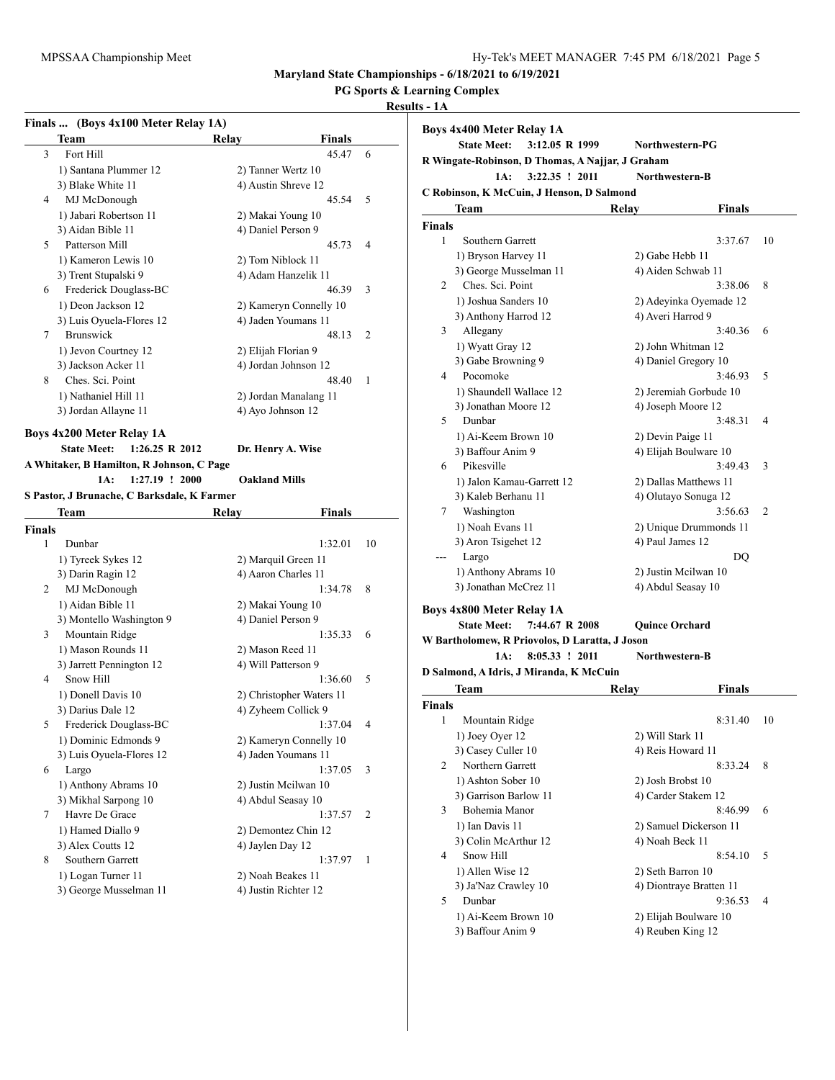## **PG Sports & Learning Complex**

|        | Finals  (Boys 4x100 Meter Relay 1A)             |                          |               |    |
|--------|-------------------------------------------------|--------------------------|---------------|----|
|        | Team                                            | Relay                    | <b>Finals</b> |    |
| 3      | Fort Hill                                       |                          | 45.47         | 6  |
|        | 1) Santana Plummer 12                           | 2) Tanner Wertz 10       |               |    |
|        | 3) Blake White 11                               | 4) Austin Shreve 12      |               |    |
| 4      | MJ McDonough                                    |                          | 45.54         | 5  |
|        | 1) Jabari Robertson 11                          | 2) Makai Young 10        |               |    |
|        | 3) Aidan Bible 11                               | 4) Daniel Person 9       |               |    |
| 5      | Patterson Mill                                  |                          | 45.73         | 4  |
|        | 1) Kameron Lewis 10                             | 2) Tom Niblock 11        |               |    |
|        | 3) Trent Stupalski 9                            | 4) Adam Hanzelik 11      |               |    |
| 6      | Frederick Douglass-BC                           |                          | 46.39         | 3  |
|        | 1) Deon Jackson 12                              | 2) Kameryn Connelly 10   |               |    |
|        | 3) Luis Oyuela-Flores 12                        | 4) Jaden Youmans 11      |               |    |
| 7      | <b>Brunswick</b>                                |                          | 48.13         | 2  |
|        | 1) Jevon Courtney 12                            | 2) Elijah Florian 9      |               |    |
|        | 3) Jackson Acker 11                             | 4) Jordan Johnson 12     |               |    |
| 8      | Ches. Sci. Point                                |                          | 48.40         | 1  |
|        | 1) Nathaniel Hill 11                            | 2) Jordan Manalang 11    |               |    |
|        | 3) Jordan Allayne 11                            | 4) Ayo Johnson 12        |               |    |
|        |                                                 |                          |               |    |
|        | <b>Boys 4x200 Meter Relay 1A</b>                |                          |               |    |
|        | <b>State Meet:</b><br>$1:26.25 \text{ R } 2012$ | Dr. Henry A. Wise        |               |    |
|        | A Whitaker, B Hamilton, R Johnson, C Page       |                          |               |    |
|        | 1A:<br>$1:27.19$ ! 2000                         | <b>Oakland Mills</b>     |               |    |
|        | S Pastor, J Brunache, C Barksdale, K Farmer     |                          |               |    |
|        | Team                                            | Relay                    | Finals        |    |
| Finals |                                                 |                          |               |    |
| 1      | Dunbar                                          |                          | 1:32.01       | 10 |
|        | 1) Tyreek Sykes 12                              | 2) Marquil Green 11      |               |    |
|        | 3) Darin Ragin 12                               | 4) Aaron Charles 11      |               |    |
| 2      | MJ McDonough                                    |                          | 1:34.78       | 8  |
|        | 1) Aidan Bible 11                               | 2) Makai Young 10        |               |    |
|        | 3) Montello Washington 9                        | 4) Daniel Person 9       |               |    |
| 3      | Mountain Ridge                                  |                          | 1:35.33       | 6  |
|        | 1) Mason Rounds 11                              | 2) Mason Reed 11         |               |    |
|        | 3) Jarrett Pennington 12                        | 4) Will Patterson 9      |               |    |
| 4      | Snow Hill                                       |                          | 1:36.60       | 5  |
|        |                                                 |                          |               |    |
|        | 1) Donell Davis 10                              | 2) Christopher Waters 11 |               |    |
|        | 3) Darius Dale 12                               | 4) Zyheem Collick 9      |               |    |
| 5      | Frederick Douglass-BC                           |                          | 1:37.04       |    |
|        | 1) Dominic Edmonds 9                            | 2) Kameryn Connelly 10   |               |    |
|        | 3) Luis Oyuela-Flores 12                        | 4) Jaden Youmans 11      |               |    |
| 6      | Largo                                           |                          | 1:37.05       | 3  |
|        | 1) Anthony Abrams 10                            | 2) Justin Mcilwan 10     |               |    |
|        | 3) Mikhal Sarpong 10                            | 4) Abdul Seasay 10       |               |    |
| 7      | Havre De Grace                                  |                          | 1:37.57       | 2  |
|        | 1) Hamed Diallo 9                               | 2) Demontez Chin 12      |               |    |
|        | 3) Alex Coutts 12                               | 4) Jaylen Day 12         |               |    |
| 8      | Southern Garrett                                |                          | 1:37.97       | 1  |
|        | 1) Logan Turner 11                              | 2) Noah Beakes 11        |               |    |
|        | 3) George Musselman 11                          | 4) Justin Richter 12     |               |    |
|        |                                                 |                          |               |    |

|        | <b>Boys 4x400 Meter Relay 1A</b><br><b>State Meet:</b><br>3:12.05 R 1999 |       | Northwestern-PG         |    |
|--------|--------------------------------------------------------------------------|-------|-------------------------|----|
|        | R Wingate-Robinson, D Thomas, A Najjar, J Graham                         |       |                         |    |
|        | 1A:<br>3:22.35 ! 2011                                                    |       | Northwestern-B          |    |
|        | C Robinson, K McCuin, J Henson, D Salmond                                |       |                         |    |
|        | Team                                                                     | Relay | <b>Finals</b>           |    |
| Finals |                                                                          |       |                         |    |
| 1      | Southern Garrett                                                         |       | 3:37.67                 | 10 |
|        |                                                                          |       |                         |    |
|        | 1) Bryson Harvey 11                                                      |       | 2) Gabe Hebb 11         |    |
|        | 3) George Musselman 11                                                   |       | 4) Aiden Schwab 11      |    |
| 2      | Ches. Sci. Point                                                         |       | 3:38.06                 | 8  |
|        | 1) Joshua Sanders 10                                                     |       | 2) Adeyinka Oyemade 12  |    |
|        | 3) Anthony Harrod 12                                                     |       | 4) Averi Harrod 9       |    |
| 3      | Allegany                                                                 |       | 3:40.36                 | 6  |
|        | 1) Wyatt Gray 12                                                         |       | 2) John Whitman 12      |    |
|        | 3) Gabe Browning 9                                                       |       | 4) Daniel Gregory 10    |    |
| 4      | Pocomoke                                                                 |       | 3:46.93                 | 5  |
|        | 1) Shaundell Wallace 12                                                  |       | 2) Jeremiah Gorbude 10  |    |
|        | 3) Jonathan Moore 12                                                     |       | 4) Joseph Moore 12      |    |
| 5      | Dunbar                                                                   |       | 3:48.31                 | 4  |
|        | 1) Ai-Keem Brown 10                                                      |       | 2) Devin Paige 11       |    |
|        | 3) Baffour Anim 9                                                        |       | 4) Elijah Boulware 10   |    |
| 6      | Pikesville                                                               |       | 3:49.43                 | 3  |
|        | 1) Jalon Kamau-Garrett 12                                                |       | 2) Dallas Matthews 11   |    |
|        | 3) Kaleb Berhanu 11                                                      |       | 4) Olutayo Sonuga 12    |    |
| 7      | Washington                                                               |       | 3:56.63                 | 2  |
|        | 1) Noah Evans 11                                                         |       | 2) Unique Drummonds 11  |    |
|        | 3) Aron Tsigehet 12                                                      |       | 4) Paul James 12        |    |
|        | Largo                                                                    |       | DQ                      |    |
|        | 1) Anthony Abrams 10                                                     |       | 2) Justin Meilwan 10    |    |
|        | 3) Jonathan McCrez 11                                                    |       | 4) Abdul Seasay 10      |    |
|        |                                                                          |       |                         |    |
|        | <b>Boys 4x800 Meter Relay 1A</b>                                         |       |                         |    |
|        | <b>State Meet:</b><br>7:44.67 R 2008                                     |       | <b>Quince Orchard</b>   |    |
|        | W Bartholomew, R Priovolos, D Laratta, J Joson                           |       |                         |    |
|        | 8:05.33 ! 2011<br>1A:                                                    |       | Northwestern-B          |    |
|        | D Salmond, A Idris, J Miranda, K McCuin                                  |       |                         |    |
|        | Team                                                                     | Relay | Finals                  |    |
| Finals |                                                                          |       |                         |    |
| 1      | Mountain Ridge                                                           |       | 8:31.40                 | 10 |
|        | 1) Joey Oyer 12                                                          |       | 2) Will Stark 11        |    |
|        | 3) Casey Culler 10                                                       |       | 4) Reis Howard 11       |    |
| 2      | Northern Garrett                                                         |       | 8:33.24                 | 8  |
|        | 1) Ashton Sober 10                                                       |       | 2) Josh Brobst 10       |    |
|        | 3) Garrison Barlow 11                                                    |       | 4) Carder Stakem 12     |    |
| 3      | Bohemia Manor                                                            |       | 8:46.99                 | 6  |
|        | 1) Ian Davis 11                                                          |       | 2) Samuel Dickerson 11  |    |
|        | 3) Colin McArthur 12                                                     |       | 4) Noah Beck 11         |    |
| 4      | Snow Hill                                                                |       | 8:54.10                 | 5  |
|        | 1) Allen Wise 12                                                         |       | 2) Seth Barron 10       |    |
|        | 3) Ja'Naz Crawley 10                                                     |       | 4) Diontraye Bratten 11 |    |
| 5      | Dunbar                                                                   |       | 9:36.53                 | 4  |
|        | 1) Ai-Keem Brown 10                                                      |       | 2) Elijah Boulware 10   |    |
|        | 3) Baffour Anim 9                                                        |       | 4) Reuben King 12       |    |
|        |                                                                          |       |                         |    |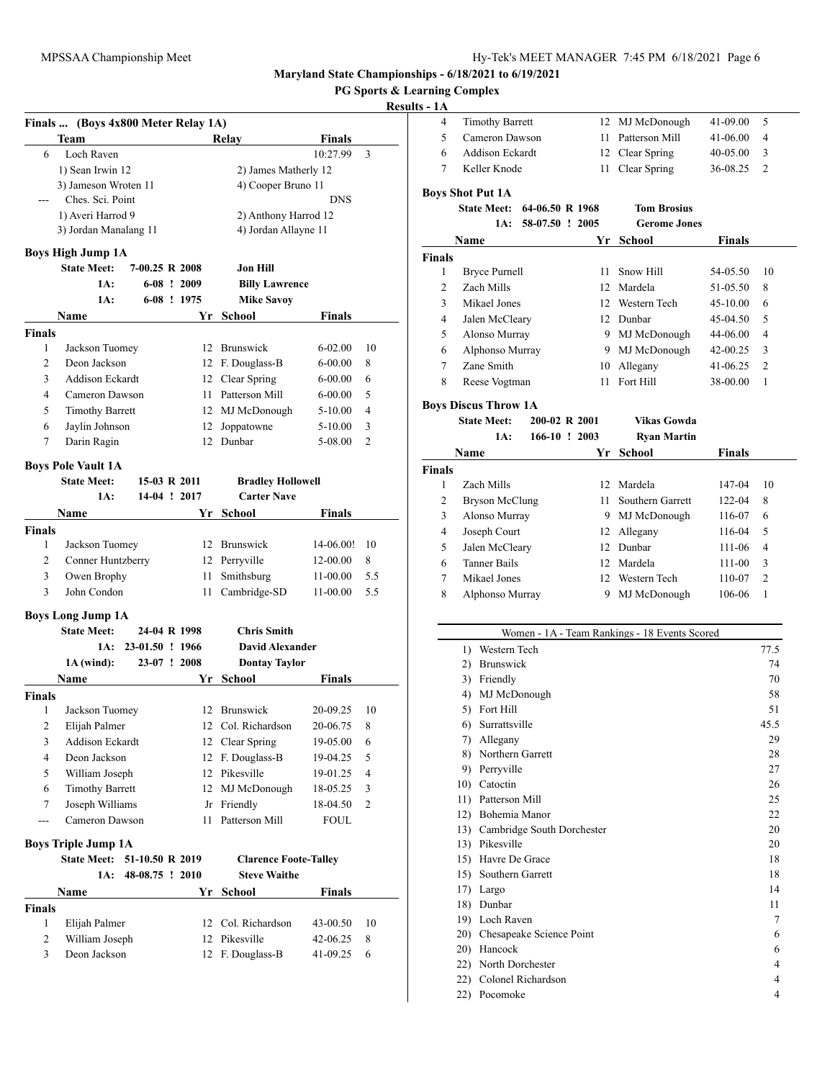**PG Sports & Learning Complex**

|               | Finals  (Boys 4x800 Meter Relay 1A) |                 |    |                              |               |                |
|---------------|-------------------------------------|-----------------|----|------------------------------|---------------|----------------|
|               | Team                                |                 |    | Relay                        | Finals        |                |
| 6             | Loch Raven                          |                 |    |                              | 10:27.99      | 3              |
|               | 1) Sean Irwin 12                    |                 |    | 2) James Matherly 12         |               |                |
|               | 3) Jameson Wroten 11                |                 |    | 4) Cooper Bruno 11           |               |                |
|               | Ches. Sci. Point                    |                 |    |                              | <b>DNS</b>    |                |
|               | 1) Averi Harrod 9                   |                 |    | 2) Anthony Harrod 12         |               |                |
|               | 3) Jordan Manalang 11               |                 |    | 4) Jordan Allayne 11         |               |                |
|               | <b>Boys High Jump 1A</b>            |                 |    |                              |               |                |
|               | <b>State Meet:</b>                  | 7-00.25 R 2008  |    | Jon Hill                     |               |                |
|               | 1A:                                 | $6-08$ ! 2009   |    | <b>Billy Lawrence</b>        |               |                |
|               | 1A:                                 | 6-08 ! 1975     |    | <b>Mike Savoy</b>            |               |                |
|               | <b>Name</b>                         |                 | Yr | <b>School</b>                | <b>Finals</b> |                |
| <b>Finals</b> |                                     |                 |    |                              |               |                |
| 1             | Jackson Tuomey                      |                 |    | 12 Brunswick                 | 6-02.00       | 10             |
| 2             | Deon Jackson                        |                 |    | 12 F. Douglass-B             | 6-00.00       | 8              |
| 3             | <b>Addison Eckardt</b>              |                 |    | 12 Clear Spring              | 6-00.00       | 6              |
| 4             | Cameron Dawson                      |                 |    | 11 Patterson Mill            | 6-00.00       | 5              |
| 5             | <b>Timothy Barrett</b>              |                 |    | 12 MJ McDonough              | 5-10.00       | 4              |
| 6             | Jaylin Johnson                      |                 | 12 | Joppatowne                   | 5-10.00       | 3              |
| 7             | Darin Ragin                         |                 |    | 12 Dunbar                    | 5-08.00       | $\overline{c}$ |
|               |                                     |                 |    |                              |               |                |
|               | <b>Boys Pole Vault 1A</b>           |                 |    |                              |               |                |
|               | <b>State Meet:</b>                  | 15-03 R 2011    |    | <b>Bradley Hollowell</b>     |               |                |
|               | 1A:                                 | 14-04 ! 2017    |    | <b>Carter Nave</b>           |               |                |
|               | Name                                |                 | Yr | School                       | Finals        |                |
| <b>Finals</b> |                                     |                 |    |                              |               |                |
| 1             | Jackson Tuomey                      |                 |    | 12 Brunswick                 | 14-06.00!     | 10             |
| 2             | Conner Huntzberry                   |                 |    | 12 Perryville                | 12-00.00      | 8              |
| 3             | Owen Brophy                         |                 | 11 | Smithsburg                   | 11-00.00      | 5.5            |
| 3             | John Condon                         |                 | 11 | Cambridge-SD                 | 11-00.00      | 5.5            |
|               | <b>Boys Long Jump 1A</b>            |                 |    |                              |               |                |
|               | <b>State Meet:</b>                  | 24-04 R 1998    |    | <b>Chris Smith</b>           |               |                |
|               | 1A:                                 | 23-01.50 ! 1966 |    | <b>David Alexander</b>       |               |                |
|               | $1A$ (wind):                        | 23-07 ! 2008    |    | <b>Dontay Taylor</b>         |               |                |
|               | Name                                |                 | Yr | <b>School</b>                | Finals        |                |
| <b>Finals</b> |                                     |                 |    |                              |               |                |
| 1             | Jackson Tuomey                      |                 |    | 12 Brunswick                 | 20-09.25      | 10             |
| 2             | Eliiah Palmer                       |                 |    | 12 Col. Richardson           | 20-06.75      | 8              |
| 3             | Addison Eckardt                     |                 | 12 | Clear Spring                 | 19-05.00      | 6              |
| 4             | Deon Jackson                        |                 | 12 | F. Douglass-B                | 19-04.25      | 5              |
| 5             | William Joseph                      |                 | 12 | Pikesville                   | 19-01.25      | 4              |
| 6             | <b>Timothy Barrett</b>              |                 | 12 | MJ McDonough                 | 18-05.25      | 3              |
| 7             | Joseph Williams                     |                 | Jr | Friendly                     | 18-04.50      | 2              |
| ---           | Cameron Dawson                      |                 | 11 | Patterson Mill               | FOUL          |                |
|               |                                     |                 |    |                              |               |                |
|               | <b>Boys Triple Jump 1A</b>          |                 |    |                              |               |                |
|               | <b>State Meet:</b>                  | 51-10.50 R 2019 |    | <b>Clarence Foote-Talley</b> |               |                |
|               | 1A:                                 | 48-08.75 ! 2010 |    | <b>Steve Waithe</b>          |               |                |
|               | Name                                |                 | Yr | School                       | Finals        |                |
| <b>Finals</b> |                                     |                 |    |                              |               |                |
| 1             | Elijah Palmer                       |                 | 12 | Col. Richardson              | 43-00.50      | 10             |
| 2             | William Joseph                      |                 | 12 | Pikesville                   | 42-06.25      | 8              |
| 3             | Deon Jackson                        |                 | 12 | F. Douglass-B                | 41-09.25      | 6              |
|               |                                     |                 |    |                              |               |                |

|               | 4 |                                          |     |                 |    | 12             | MJ McDonough                                  | 41-09.00 | 5    |
|---------------|---|------------------------------------------|-----|-----------------|----|----------------|-----------------------------------------------|----------|------|
|               |   | <b>Timothy Barrett</b><br>Cameron Dawson |     |                 |    |                |                                               |          |      |
|               | 5 | Addison Eckardt                          |     |                 | 11 | Patterson Mill | 41-06.00                                      | 4        |      |
|               | 6 |                                          |     |                 |    | 12             | Clear Spring                                  | 40-05.00 | 3    |
|               | 7 | Keller Knode                             |     |                 |    | 11             | Clear Spring                                  | 36-08.25 | 2    |
|               |   | <b>Boys Shot Put 1A</b>                  |     |                 |    |                |                                               |          |      |
|               |   | <b>State Meet:</b>                       |     | 64-06.50 R 1968 |    |                | <b>Tom Brosius</b>                            |          |      |
|               |   |                                          | 1A: | 58-07.50 ! 2005 |    |                | <b>Gerome Jones</b>                           |          |      |
|               |   |                                          |     |                 |    |                |                                               |          |      |
|               |   | Name                                     |     |                 |    | Yr             | <b>School</b>                                 | Finals   |      |
| <b>Finals</b> |   |                                          |     |                 |    |                |                                               |          |      |
|               | 1 | <b>Bryce Purnell</b>                     |     |                 |    | 11             | Snow Hill                                     | 54-05.50 | 10   |
|               | 2 | Zach Mills                               |     |                 |    |                | 12 Mardela                                    | 51-05.50 | 8    |
|               | 3 | Mikael Jones                             |     |                 |    |                | 12 Western Tech                               | 45-10.00 | 6    |
|               | 4 | Jalen McCleary                           |     |                 |    |                | 12 Dunbar                                     | 45-04.50 | 5    |
|               | 5 | Alonso Murray                            |     |                 |    |                | 9 MJ McDonough                                | 44-06.00 | 4    |
|               | 6 | Alphonso Murray                          |     |                 |    |                | 9 MJ McDonough                                | 42-00.25 | 3    |
|               | 7 | Zane Smith                               |     |                 |    | 10             | Allegany                                      | 41-06.25 | 2    |
|               | 8 | Reese Vogtman                            |     |                 |    | 11             | Fort Hill                                     | 38-00.00 | 1    |
|               |   |                                          |     |                 |    |                |                                               |          |      |
|               |   | <b>Boys Discus Throw 1A</b>              |     |                 |    |                |                                               |          |      |
|               |   | <b>State Meet:</b>                       |     | 200-02 R 2001   |    |                | Vikas Gowda                                   |          |      |
|               |   |                                          | 1A: | 166-10 ! 2003   |    |                | <b>Ryan Martin</b>                            |          |      |
|               |   | Name                                     |     |                 |    | Yr             | School                                        | Finals   |      |
| Finals        |   |                                          |     |                 |    |                |                                               |          |      |
|               | 1 | Zach Mills                               |     |                 |    |                | 12 Mardela                                    |          | 10   |
|               |   |                                          |     |                 |    |                |                                               | 147-04   |      |
|               | 2 | <b>Bryson McClung</b>                    |     |                 |    | 11 -           | Southern Garrett                              | 122-04   | 8    |
|               | 3 | Alonso Murray                            |     |                 |    |                | 9 MJ McDonough                                | 116-07   | 6    |
|               | 4 | Joseph Court                             |     |                 |    | 12             | Allegany                                      | 116-04   | 5    |
|               | 5 | Jalen McCleary                           |     |                 |    |                | 12 Dunbar                                     | 111-06   | 4    |
|               | 6 | <b>Tanner Bails</b>                      |     |                 |    |                | 12 Mardela                                    | 111-00   | 3    |
|               | 7 | Mikael Jones                             |     |                 |    | 12             | Western Tech                                  | 110-07   | 2    |
|               | 8 | Alphonso Murray                          |     |                 |    | 9.             | MJ McDonough                                  | 106-06   | 1    |
|               |   |                                          |     |                 |    |                |                                               |          |      |
|               |   |                                          |     |                 |    |                |                                               |          |      |
|               |   |                                          |     |                 |    |                | Women - 1A - Team Rankings - 18 Events Scored |          |      |
|               |   | 1) Western Tech                          |     |                 |    |                |                                               |          | 77.5 |
|               |   | 2) Brunswick                             |     |                 |    |                |                                               |          | 74   |
|               |   | 3) Friendly                              |     |                 |    |                |                                               |          | 70   |
|               |   | 4).                                      |     | MJ McDonough    |    |                |                                               |          | 58   |
|               |   | 5) Fort Hill                             |     |                 |    |                |                                               |          | 51   |
|               |   | 6) Surrattsville                         |     |                 |    |                |                                               |          | 45.5 |
|               |   | 7) Allegany                              |     |                 |    |                |                                               |          | 29   |
|               |   | 8) Northern Garrett                      |     |                 |    |                |                                               |          | 28   |
|               |   | 9) Perryville                            |     |                 |    |                |                                               |          | 27   |
|               |   | 10) Catoctin                             |     |                 |    |                |                                               |          | 26   |
|               |   | 11) Patterson Mill                       |     |                 |    |                |                                               |          | 25   |
|               |   | 12) Bohemia Manor                        |     |                 |    |                |                                               |          | 22   |
|               |   | 13) Cambridge South Dorchester           |     |                 |    |                |                                               |          | 20   |
|               |   | 13) Pikesville                           |     |                 |    |                |                                               |          | 20   |
|               |   | 15) Havre De Grace                       |     |                 |    |                |                                               |          | 18   |
|               |   | 15) Southern Garrett                     |     |                 |    |                |                                               |          | 18   |
|               |   | 17) Largo                                |     |                 |    |                |                                               |          | 14   |
|               |   | 18) Dunbar                               |     |                 |    |                |                                               |          | 11   |
|               |   | 19) Loch Raven                           |     |                 |    |                |                                               |          | 7    |
|               |   | 20) Chesapeake Science Point             |     |                 |    |                |                                               |          | 6    |
|               |   | 20) Hancock                              |     |                 |    |                |                                               |          | 6    |
|               |   |                                          |     |                 |    |                |                                               |          | 4    |
|               |   | 22) North Dorchester                     |     |                 |    |                |                                               |          |      |
|               |   | 22) Colonel Richardson                   |     |                 |    |                |                                               |          | 4    |
|               |   | 22) Pocomoke                             |     |                 |    |                |                                               |          | 4    |
|               |   |                                          |     |                 |    |                |                                               |          |      |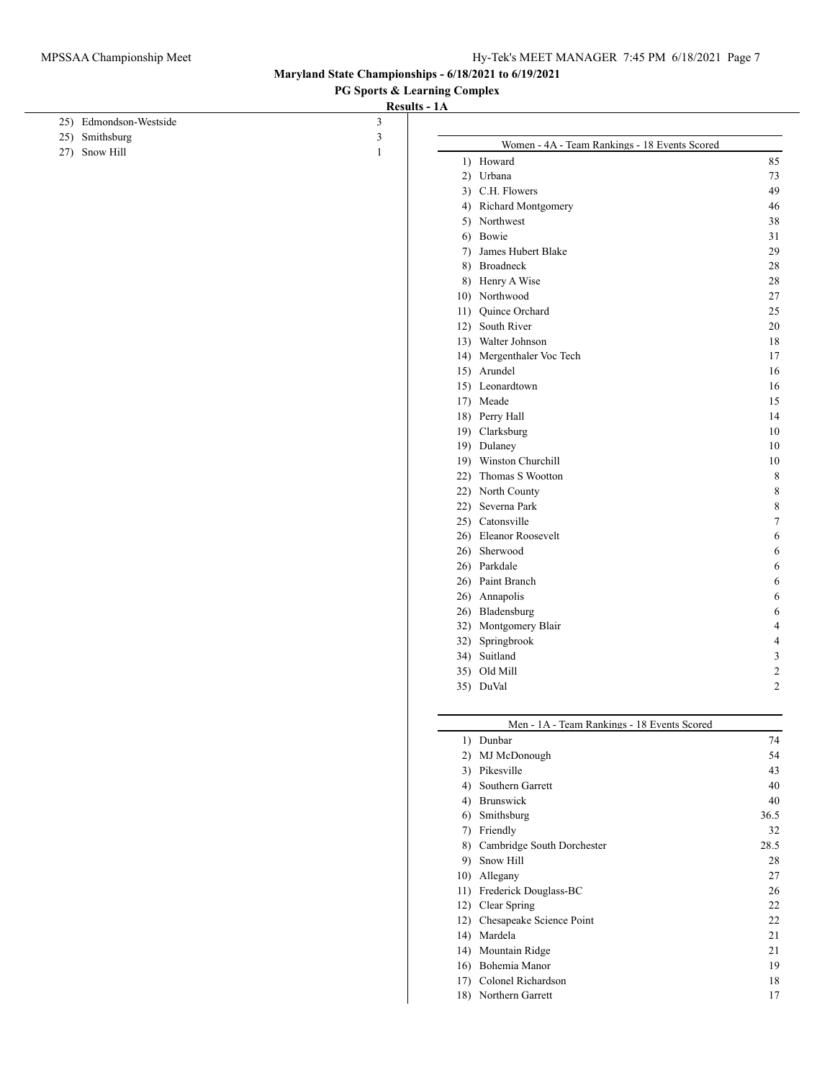**PG Sports & Learning Complex**

| 25) Edmondson-Westside | 3              |                                               |                |
|------------------------|----------------|-----------------------------------------------|----------------|
| 25) Smithsburg         | $\mathfrak{Z}$ | Women - 4A - Team Rankings - 18 Events Scored |                |
| 27) Snow Hill          | $\mathbf{1}$   | 1) Howard                                     | 85             |
|                        |                | 2) Urbana                                     | 73             |
|                        |                | 3) C.H. Flowers                               | 49             |
|                        |                | 4) Richard Montgomery                         | 46             |
|                        |                | 5) Northwest                                  | 38             |
|                        |                | 6) Bowie                                      | 31             |
|                        |                | 7) James Hubert Blake                         | 29             |
|                        |                | 8) Broadneck                                  | 28             |
|                        |                | 8) Henry A Wise                               | 28             |
|                        |                | 10) Northwood                                 | 27             |
|                        |                | Quince Orchard<br>11)                         | 25             |
|                        |                | 12) South River                               | 20             |
|                        |                | 13) Walter Johnson                            | 18             |
|                        |                | 14) Mergenthaler Voc Tech                     | 17             |
|                        |                | 15) Arundel                                   | 16             |
|                        |                | 15) Leonardtown                               | 16             |
|                        |                | 17) Meade                                     | 15             |
|                        |                | 18) Perry Hall                                | 14             |
|                        |                | 19) Clarksburg                                | 10             |
|                        |                | 19) Dulaney                                   | 10             |
|                        |                | 19) Winston Churchill                         | 10             |
|                        |                | 22) Thomas S Wootton                          | 8              |
|                        |                | 22) North County                              | 8              |
|                        |                | 22) Severna Park                              | 8              |
|                        |                | 25) Catonsville                               | 7              |
|                        |                | 26) Eleanor Roosevelt                         | 6              |
|                        |                | 26) Sherwood                                  | 6              |
|                        |                | 26) Parkdale                                  | 6              |
|                        |                | 26) Paint Branch                              | 6              |
|                        |                | 26) Annapolis                                 | 6              |
|                        |                | Bladensburg<br>26)                            | 6              |
|                        |                | Montgomery Blair<br>32)                       | 4              |
|                        |                | Springbrook<br>32)                            | $\overline{4}$ |
|                        |                | 34) Suitland                                  | $\mathfrak{Z}$ |
|                        |                | 35) Old Mill                                  | $\overline{c}$ |
|                        |                | 35) DuVal                                     | $\overline{2}$ |
|                        |                | Men - 1A - Team Rankings - 18 Events Scored   |                |
|                        |                | 1) Dunbar                                     | 74             |
|                        |                | 2) MJ McDonough                               | 54             |
|                        |                | 3) Pikesville                                 | 43             |
|                        |                | 4) Southern Garrett                           | 40             |
|                        |                |                                               |                |
|                        |                | 4) Brunswick                                  | 40             |
|                        |                | Smithsburg<br>6)                              | 36.5           |
|                        |                | 7) Friendly                                   | 32             |
|                        |                | Cambridge South Dorchester<br>8)              | 28.5           |
|                        |                | 9) Snow Hill                                  | 28             |
|                        |                | 10) Allegany                                  | 27             |
|                        |                | 11) Frederick Douglass-BC                     | 26             |
|                        |                | 12) Clear Spring                              | 22             |
|                        |                | 12) Chesapeake Science Point                  | 22             |
|                        |                | 14) Mardela                                   | 21             |
|                        |                | 14) Mountain Ridge                            | 21             |
|                        |                | 16) Bohemia Manor                             | 19             |
|                        |                | 17) Colonel Richardson                        | 18             |